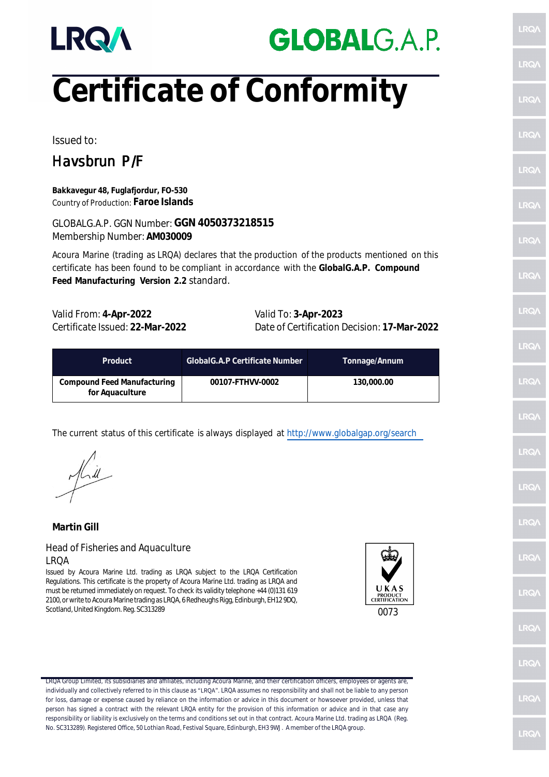

## **GLOBALG.A.P.**

# **Certificate of Conformity**

Issued to:

### Havsbrun P/F

**Bakkavegur 48, Fuglafjordur, FO-530** Country of Production: **Faroe Islands**

GLOBALG.A.P. GGN Number: **GGN 4050373218515** Membership Number: **AM030009**

Acoura Marine (trading as LRQA) declares that the production of the products mentioned on this certificate has been found to be compliant in accordance with the **GlobalG.A.P. Compound Feed Manufacturing Version 2.2** standard.

Valid From: **4-Apr-2022** Valid To: **3-Apr-2023**

Certificate Issued: **22-Mar-2022** Date of Certification Decision: **17-Mar-2022**

| Product                                        | GlobalG.A.P Certificate Number | Tonnage/Annum |
|------------------------------------------------|--------------------------------|---------------|
| Compound Feed Manufacturing<br>for Aquaculture | 00107-FTHVV-0002               | 130,000.00    |

The current status of this certificate is always displayed at http://www.globalgap.org/search

**Martin Gill**

#### Head of Fisheries and Aquaculture LRQA

Issued by Acoura Marine Ltd. trading as LRQA subject to the LRQA Certification Regulations. This certificate is the property of Acoura Marine Ltd. trading as LRQA and must be returned immediately on request. To check its validity telephone +44 (0)131 619 2100, or write to Acoura Marine trading as LRQA, 6 Redheughs Rigg, Edinburgh, EH12 9DQ, Scotland, United Kingdom. Reg. SC313289 0073



LRQA Group Limited, its subsidiaries and affiliates, including Acoura Marine, and their certification officers, employees or agents are, individually and collectively referred to in this clause as "LRQA". LRQA assumes no responsibility and shall not be liable to any person for loss, damage or expense caused by reliance on the information or advice in this document or howsoever provided, unless that person has signed a contract with the relevant LRQA entity for the provision of this information or advice and in that case any responsibility or liability is exclusively on the terms and conditions set out in that contract. Acoura Marine Ltd. trading as LRQA (Reg. No. SC313289). Registered Office, 50 Lothian Road, Festival Square, Edinburgh, EH3 9WJ. A member of the LRQA group.